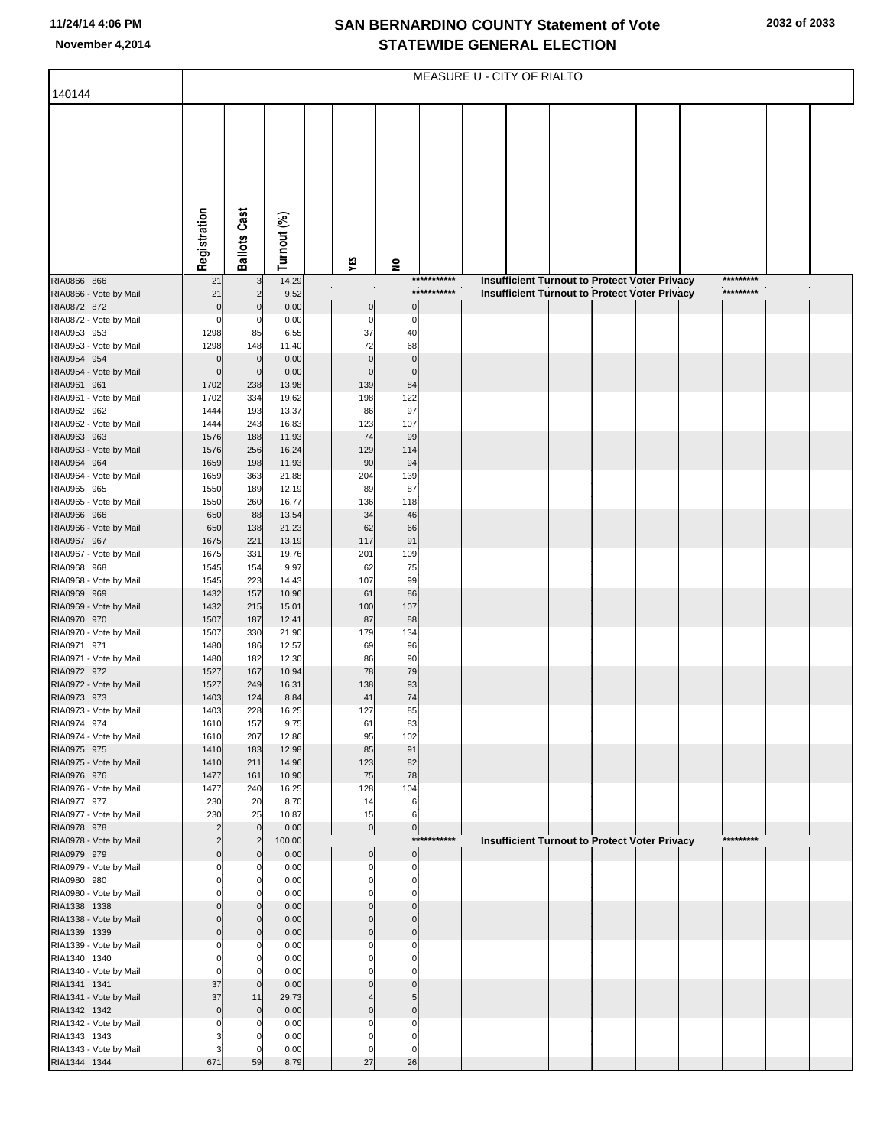## **SAN BERNARDINO COUNTY Statement of Vote November 4,2014 STATEWIDE GENERAL ELECTION**

|                                        | MEASURE U - CITY OF RIALTO       |                                        |                |                      |                            |                            |  |  |  |  |                                                                                                |  |                        |  |
|----------------------------------------|----------------------------------|----------------------------------------|----------------|----------------------|----------------------------|----------------------------|--|--|--|--|------------------------------------------------------------------------------------------------|--|------------------------|--|
| 140144                                 |                                  |                                        |                |                      |                            |                            |  |  |  |  |                                                                                                |  |                        |  |
|                                        |                                  |                                        |                |                      |                            |                            |  |  |  |  |                                                                                                |  |                        |  |
|                                        |                                  |                                        |                |                      |                            |                            |  |  |  |  |                                                                                                |  |                        |  |
|                                        |                                  |                                        |                |                      |                            |                            |  |  |  |  |                                                                                                |  |                        |  |
|                                        |                                  |                                        |                |                      |                            |                            |  |  |  |  |                                                                                                |  |                        |  |
|                                        |                                  |                                        |                |                      |                            |                            |  |  |  |  |                                                                                                |  |                        |  |
|                                        |                                  |                                        |                |                      |                            |                            |  |  |  |  |                                                                                                |  |                        |  |
|                                        |                                  |                                        |                |                      |                            |                            |  |  |  |  |                                                                                                |  |                        |  |
|                                        |                                  |                                        |                |                      |                            |                            |  |  |  |  |                                                                                                |  |                        |  |
|                                        | Registration                     | <b>Ballots Cast</b>                    | Turnout (%)    |                      |                            |                            |  |  |  |  |                                                                                                |  |                        |  |
|                                        |                                  |                                        |                | ٧ÉS                  | $\mathbf{S}$               |                            |  |  |  |  |                                                                                                |  |                        |  |
| RIA0866 866<br>RIA0866 - Vote by Mail  | 21<br>21                         | 3<br>$\overline{2}$                    | 14.29<br>9.52  |                      |                            | ***********<br>*********** |  |  |  |  | Insufficient Turnout to Protect Voter Privacy<br>Insufficient Turnout to Protect Voter Privacy |  | *********<br>********* |  |
| RIA0872 872                            | $\mathbf 0$                      | $\mathbf 0$                            | 0.00           | 0                    | $\mathbf 0$                |                            |  |  |  |  |                                                                                                |  |                        |  |
| RIA0872 - Vote by Mail                 | $\Omega$                         | 0                                      | 0.00           | 0                    | $\mathbf 0$                |                            |  |  |  |  |                                                                                                |  |                        |  |
| RIA0953 953<br>RIA0953 - Vote by Mail  | 1298<br>1298                     | 85<br>148                              | 6.55<br>11.40  | 37<br>72             | 40<br>68                   |                            |  |  |  |  |                                                                                                |  |                        |  |
| RIA0954 954                            | 0                                | $\mathbf 0$                            | 0.00           | $\mathbf 0$          | $\mathbf 0$                |                            |  |  |  |  |                                                                                                |  |                        |  |
| RIA0954 - Vote by Mail                 | $\mathbf 0$                      | $\mathbf 0$                            | 0.00           | 0                    | $\mathbf 0$                |                            |  |  |  |  |                                                                                                |  |                        |  |
| RIA0961 961                            | 1702                             | 238                                    | 13.98          | 139                  | 84                         |                            |  |  |  |  |                                                                                                |  |                        |  |
| RIA0961 - Vote by Mail<br>RIA0962 962  | 1702<br>1444                     | 334<br>193                             | 19.62<br>13.37 | 198<br>86            | 122<br>97                  |                            |  |  |  |  |                                                                                                |  |                        |  |
| RIA0962 - Vote by Mail                 | 1444                             | 243                                    | 16.83          | 123                  | 107                        |                            |  |  |  |  |                                                                                                |  |                        |  |
| RIA0963 963                            | 1576                             | 188                                    | 11.93          | 74                   | 99                         |                            |  |  |  |  |                                                                                                |  |                        |  |
| RIA0963 - Vote by Mail<br>RIA0964 964  | 1576<br>1659                     | 256<br>198                             | 16.24<br>11.93 | 129<br>90            | 114<br>94                  |                            |  |  |  |  |                                                                                                |  |                        |  |
| RIA0964 - Vote by Mail                 | 1659                             | 363                                    | 21.88          | 204                  | 139                        |                            |  |  |  |  |                                                                                                |  |                        |  |
| RIA0965 965                            | 1550                             | 189                                    | 12.19          | 89                   | 87                         |                            |  |  |  |  |                                                                                                |  |                        |  |
| RIA0965 - Vote by Mail<br>RIA0966 966  | 1550<br>650                      | 260<br>88                              | 16.77<br>13.54 | 136<br>34            | 118<br>46                  |                            |  |  |  |  |                                                                                                |  |                        |  |
| RIA0966 - Vote by Mail                 | 650                              | 138                                    | 21.23          | 62                   | 66                         |                            |  |  |  |  |                                                                                                |  |                        |  |
| RIA0967 967                            | 1675                             | 221                                    | 13.19          | 117                  | 91                         |                            |  |  |  |  |                                                                                                |  |                        |  |
| RIA0967 - Vote by Mail                 | 1675                             | 331                                    | 19.76          | 201                  | 109                        |                            |  |  |  |  |                                                                                                |  |                        |  |
| RIA0968 968<br>RIA0968 - Vote by Mail  | 1545<br>1545                     | 154<br>223                             | 9.97<br>14.43  | 62<br>107            | 75<br>99                   |                            |  |  |  |  |                                                                                                |  |                        |  |
| RIA0969 969                            | 1432                             | 157                                    | 10.96          | 61                   | 86                         |                            |  |  |  |  |                                                                                                |  |                        |  |
| RIA0969 - Vote by Mail                 | 1432                             | 215                                    | 15.01          | 100                  | 107                        |                            |  |  |  |  |                                                                                                |  |                        |  |
| RIA0970 970<br>RIA0970 - Vote by Mail  | 1507<br>1507                     | 187<br>330                             | 12.41<br>21.90 | 87<br>179            | 88<br>134                  |                            |  |  |  |  |                                                                                                |  |                        |  |
| RIA0971 971                            | 1480                             | 186                                    | 12.57          | 69                   | 96                         |                            |  |  |  |  |                                                                                                |  |                        |  |
| RIA0971 - Vote by Mail                 | 1480                             | 182                                    | 12.30          | 86                   | 90                         |                            |  |  |  |  |                                                                                                |  |                        |  |
| RIA0972 972<br>RIA0972 - Vote by Mail  | 1527<br>1527                     | 167<br>249                             | 10.94<br>16.31 | 78<br>138            | 79<br>93                   |                            |  |  |  |  |                                                                                                |  |                        |  |
| RIA0973 973                            | 1403                             | 124                                    | 8.84           | 41                   | 74                         |                            |  |  |  |  |                                                                                                |  |                        |  |
| RIA0973 - Vote by Mail                 | 1403                             | 228                                    | 16.25          | 127                  | 85                         |                            |  |  |  |  |                                                                                                |  |                        |  |
| RIA0974 974<br>RIA0974 - Vote by Mail  | 1610<br>1610                     | 157<br>207                             | 9.75<br>12.86  | 61<br>95             | 83<br>102                  |                            |  |  |  |  |                                                                                                |  |                        |  |
| RIA0975 975                            | 1410                             | 183                                    | 12.98          | 85                   | 91                         |                            |  |  |  |  |                                                                                                |  |                        |  |
| RIA0975 - Vote by Mail                 | 1410                             | 211                                    | 14.96          | 123                  | 82                         |                            |  |  |  |  |                                                                                                |  |                        |  |
| RIA0976 976<br>RIA0976 - Vote by Mail  | 1477<br>1477                     | 161<br>240                             | 10.90<br>16.25 | 75<br>128            | 78<br>104                  |                            |  |  |  |  |                                                                                                |  |                        |  |
| RIA0977 977                            | 230                              | 20                                     | 8.70           | 14                   | $\,6$                      |                            |  |  |  |  |                                                                                                |  |                        |  |
| RIA0977 - Vote by Mail                 | 230                              | 25                                     | 10.87          | 15                   | 6                          |                            |  |  |  |  |                                                                                                |  |                        |  |
| RIA0978 978<br>RIA0978 - Vote by Mail  | $\overline{2}$<br>$\overline{c}$ | $\mathbf 0$<br>$\overline{\mathbf{c}}$ | 0.00<br>100.00 | 0                    | $\overline{0}$             | ***********                |  |  |  |  | Insufficient Turnout to Protect Voter Privacy                                                  |  | *********              |  |
| RIA0979 979                            | $\mathbf 0$                      | $\mathbf 0$                            | 0.00           | $\mathbf 0$          | $\overline{0}$             |                            |  |  |  |  |                                                                                                |  |                        |  |
| RIA0979 - Vote by Mail                 | $\Omega$                         | 0                                      | 0.00           | 0                    | $\mathbf 0$                |                            |  |  |  |  |                                                                                                |  |                        |  |
| RIA0980 980<br>RIA0980 - Vote by Mail  | O<br>$\Omega$                    | C<br>$\Omega$                          | 0.00<br>0.00   | $\Omega$<br>$\Omega$ | $\mathbf 0$<br>$\mathbf 0$ |                            |  |  |  |  |                                                                                                |  |                        |  |
| RIA1338 1338                           | $\Omega$                         | $\mathcal{C}$                          | 0.00           |                      | $\mathbf 0$                |                            |  |  |  |  |                                                                                                |  |                        |  |
| RIA1338 - Vote by Mail                 | $\Omega$                         | $\mathbf 0$                            | 0.00           | $\mathbf 0$          | $\mathbf 0$                |                            |  |  |  |  |                                                                                                |  |                        |  |
| RIA1339 1339                           | $\Omega$                         | $\Omega$                               | 0.00           | $\Omega$             | $\mathbf 0$                |                            |  |  |  |  |                                                                                                |  |                        |  |
| RIA1339 - Vote by Mail<br>RIA1340 1340 | $\Omega$<br>O                    | 0                                      | 0.00<br>0.00   | $\Omega$             | $\mathbf 0$<br>$\mathbf 0$ |                            |  |  |  |  |                                                                                                |  |                        |  |
| RIA1340 - Vote by Mail                 | $\Omega$                         | C                                      | 0.00           |                      | $\mathbf 0$                |                            |  |  |  |  |                                                                                                |  |                        |  |
| RIA1341 1341                           | 37                               | $\mathsf{C}$                           | 0.00           |                      | $\mathbf 0$                |                            |  |  |  |  |                                                                                                |  |                        |  |
| RIA1341 - Vote by Mail<br>RIA1342 1342 | 37<br>$\mathbf 0$                | 11<br>$\mathbf 0$                      | 29.73<br>0.00  | $\Omega$             | 5<br>$\mathbf 0$           |                            |  |  |  |  |                                                                                                |  |                        |  |
| RIA1342 - Vote by Mail                 | 0                                | -0                                     | 0.00           |                      | $\mathbf 0$                |                            |  |  |  |  |                                                                                                |  |                        |  |
| RIA1343 1343                           |                                  |                                        | 0.00           |                      | $\Omega$                   |                            |  |  |  |  |                                                                                                |  |                        |  |
| RIA1343 - Vote by Mail<br>RIA1344 1344 | 3<br>671                         | C<br>59                                | 0.00<br>8.79   | 0<br>27              | $\mathbf 0$<br>26          |                            |  |  |  |  |                                                                                                |  |                        |  |
|                                        |                                  |                                        |                |                      |                            |                            |  |  |  |  |                                                                                                |  |                        |  |